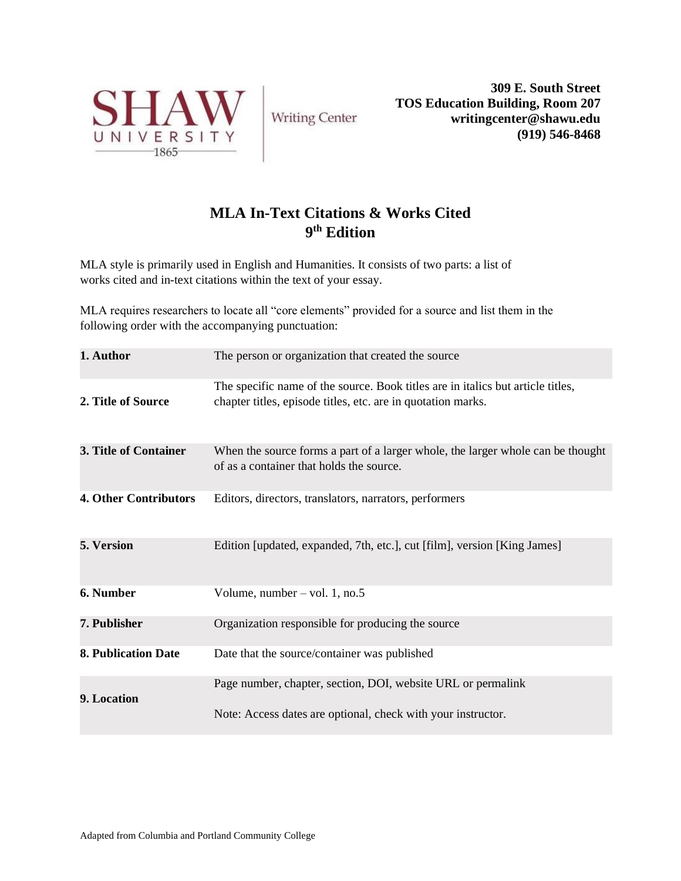

**Writing Center** 

**309 E. South Street TOS Education Building, Room 207 writingcenter@shawu.edu (919) 546-8468**

# **MLA In-Text Citations & Works Cited 9 th Edition**

MLA style is primarily used in English and Humanities. It consists of two parts: a list of works cited and in-text citations within the text of your essay.

MLA requires researchers to locate all "core elements" provided for a source and list them in the following order with the accompanying punctuation:

| 1. Author                  | The person or organization that created the source                                                                                              |
|----------------------------|-------------------------------------------------------------------------------------------------------------------------------------------------|
| 2. Title of Source         | The specific name of the source. Book titles are in italics but article titles,<br>chapter titles, episode titles, etc. are in quotation marks. |
| 3. Title of Container      | When the source forms a part of a larger whole, the larger whole can be thought<br>of as a container that holds the source.                     |
| 4. Other Contributors      | Editors, directors, translators, narrators, performers                                                                                          |
| 5. Version                 | Edition [updated, expanded, 7th, etc.], cut [film], version [King James]                                                                        |
| 6. Number                  | Volume, number $-$ vol. 1, no.5                                                                                                                 |
| 7. Publisher               | Organization responsible for producing the source                                                                                               |
| <b>8. Publication Date</b> | Date that the source/container was published                                                                                                    |
| 9. Location                | Page number, chapter, section, DOI, website URL or permalink                                                                                    |
|                            | Note: Access dates are optional, check with your instructor.                                                                                    |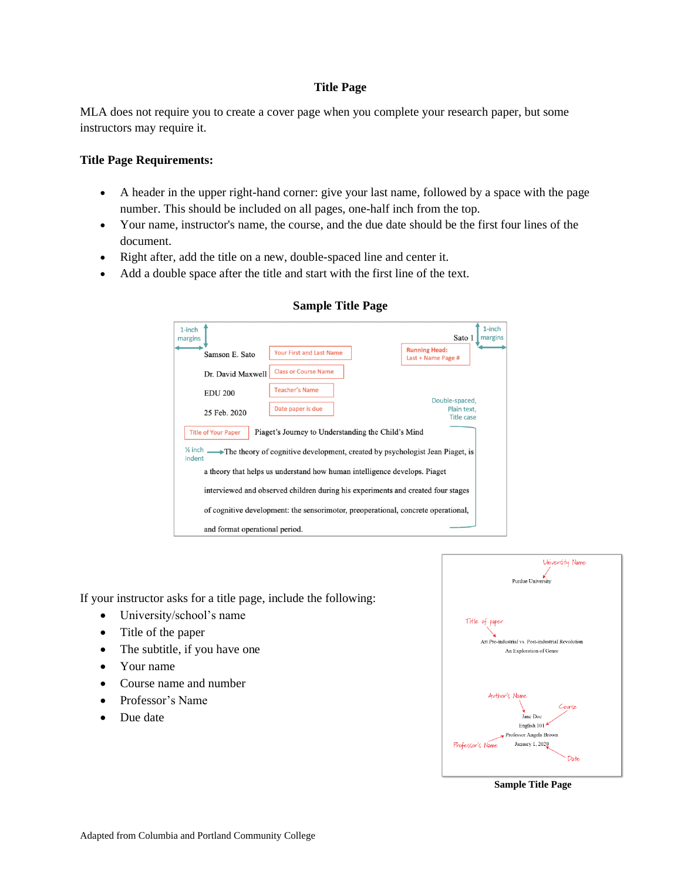## **Title Page**

MLA does not require you to create a cover page when you complete your research paper, but some instructors may require it.

### **Title Page Requirements:**

- A header in the upper right-hand corner: give your last name, followed by a space with the page number. This should be included on all pages, one-half inch from the top.
- Your name, instructor's name, the course, and the due date should be the first four lines of the document.
- Right after, add the title on a new, double-spaced line and center it.
- Add a double space after the title and start with the first line of the text.

| 1-inch<br>margins              |                                                                                            | Sato 1                                             | $1$ -inch<br>margins |
|--------------------------------|--------------------------------------------------------------------------------------------|----------------------------------------------------|----------------------|
| Samson E. Sato                 | <b>Your First and Last Name</b>                                                            | <b>Running Head:</b><br>Last + Name Page #         |                      |
| Dr. David Maxwell              | <b>Class or Course Name</b>                                                                |                                                    |                      |
| <b>EDU 200</b>                 | <b>Teacher's Name</b>                                                                      |                                                    |                      |
| 25 Feb. 2020                   | Date paper is due                                                                          | Double-spaced,<br>Plain text,<br><b>Title case</b> |                      |
| <b>Title of Your Paper</b>     | Piaget's Journey to Understanding the Child's Mind                                         |                                                    |                      |
| $%$ inch $\equiv$<br>indent    | $\rightarrow$ The theory of cognitive development, created by psychologist Jean Piaget, is |                                                    |                      |
|                                | a theory that helps us understand how human intelligence develops. Piaget                  |                                                    |                      |
|                                | interviewed and observed children during his experiments and created four stages           |                                                    |                      |
|                                | of cognitive development: the sensorimotor, preoperational, concrete operational,          |                                                    |                      |
| and format operational period. |                                                                                            |                                                    |                      |

## **Sample Title Page**

If your instructor asks for a title page, include the following:

- University/school's name
- Title of the paper
- The subtitle, if you have one
- Your name
- Course name and number
- Professor's Name
- Due date



**Sample Title Page**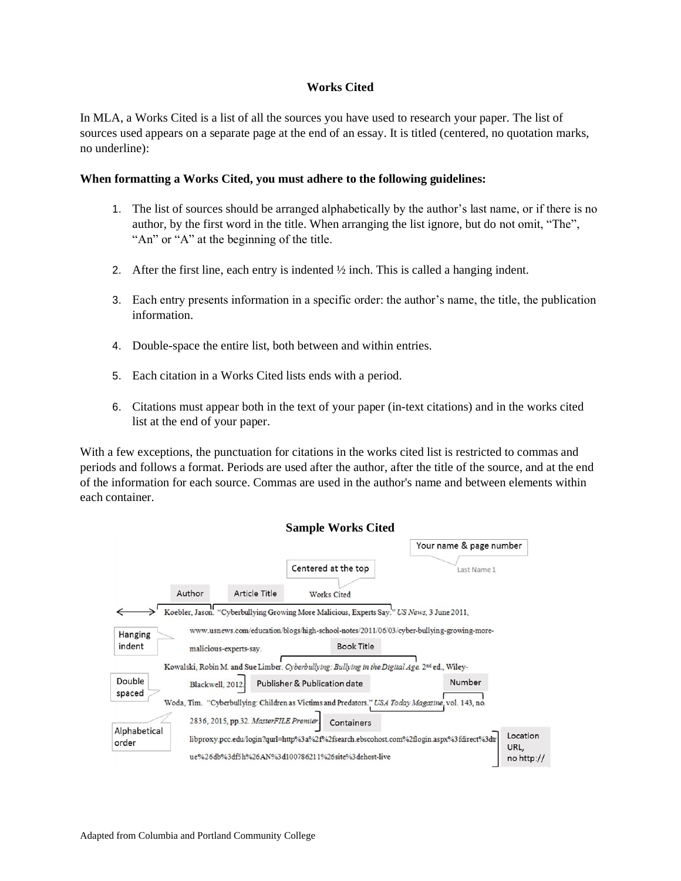### **Works Cited**

In MLA, a Works Cited is a list of all the sources you have used to research your paper. The list of sources used appears on a separate page at the end of an essay. It is titled (centered, no quotation marks, no underline):

#### **When formatting a Works Cited, you must adhere to the following guidelines:**

- 1. The list of sources should be arranged alphabetically by the author's last name, or if there is no author, by the first word in the title. When arranging the list ignore, but do not omit, "The", "An" or "A" at the beginning of the title.
- 2. After the first line, each entry is indented  $\frac{1}{2}$  inch. This is called a hanging indent.
- 3. Each entry presents information in a specific order: the author's name, the title, the publication information.
- 4. Double-space the entire list, both between and within entries.
- 5. Each citation in a Works Cited lists ends with a period.
- 6. Citations must appear both in the text of your paper (in-text citations) and in the works cited list at the end of your paper.

With a few exceptions, the punctuation for citations in the works cited list is restricted to commas and periods and follows a format. Periods are used after the author, after the title of the source, and at the end of the information for each source. Commas are used in the author's name and between elements within each container.

|                       |                 |                                       | <b>Sample Works Cited</b>                                                                                  |                         |                  |
|-----------------------|-----------------|---------------------------------------|------------------------------------------------------------------------------------------------------------|-------------------------|------------------|
|                       |                 |                                       |                                                                                                            | Your name & page number |                  |
|                       |                 |                                       | Centered at the top                                                                                        | Last Name 1             |                  |
|                       | Author          | <b>Article Title</b>                  | <b>Works Cited</b>                                                                                         |                         |                  |
|                       |                 |                                       | Koebler, Jason. "Cyberbullying Growing More Malicious, Experts Say." US News, 3 June 2011,                 |                         |                  |
| Hanging               |                 |                                       | www.usnews.com/education/blogs/high-school-notes/2011/06/03/cyber-bullying-growing-more-                   |                         |                  |
| indent                |                 | malicious-experts-say.                | <b>Book Title</b>                                                                                          |                         |                  |
|                       |                 |                                       | Kowalski, Robin M. and Sue Limber. Cyberbullying: Bullying in the Digital Age. 2 <sup>nd</sup> ed., Wiley- |                         |                  |
| Double                | Blackwell, 2012 |                                       | Publisher & Publication date                                                                               | Number                  |                  |
| spaced                |                 |                                       | Woda, Tim. "Cyberbullying: Children as Victims and Predators." USA Today Magazine, vol. 143, no.           |                         |                  |
|                       |                 | 2836, 2015, pp.32. MasterFILE Premier | Containers                                                                                                 |                         |                  |
| Alphabetical<br>order |                 |                                       | libproxy.pcc.edu/login?qurl=http%3a%2f%2fsearch.ebscohost.com%2flogin.aspx%3fdirect%3dtr                   |                         | Location<br>URL, |
|                       |                 |                                       | ue%26db%3df5h%26AN%3d100786211%26site%3dehost-live                                                         |                         | $no$ http://     |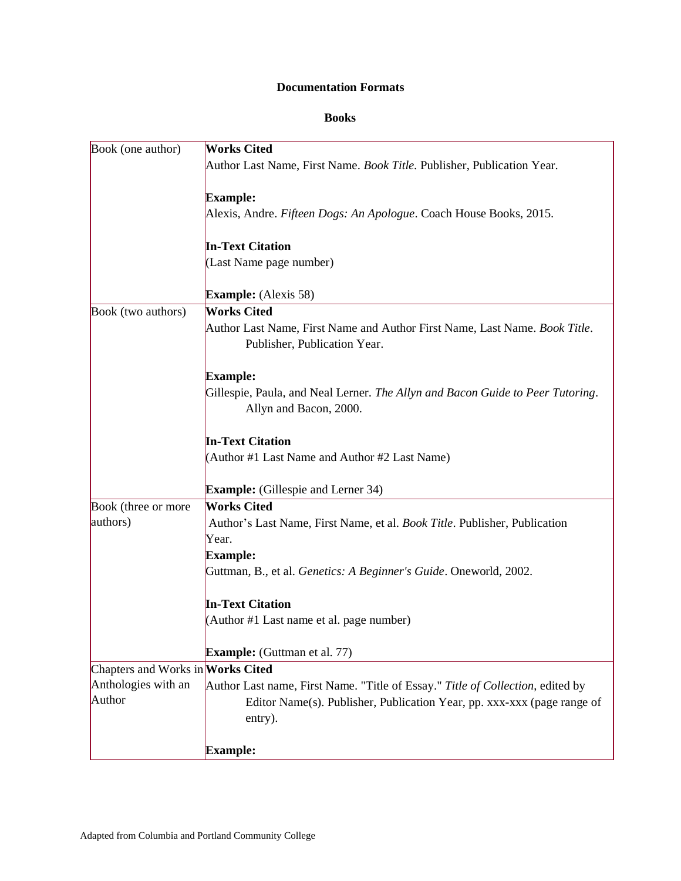## **Documentation Formats**

## **Books**

| Book (one author)                 | <b>Works Cited</b>                                                                                         |
|-----------------------------------|------------------------------------------------------------------------------------------------------------|
|                                   | Author Last Name, First Name. Book Title. Publisher, Publication Year.                                     |
|                                   | <b>Example:</b>                                                                                            |
|                                   | Alexis, Andre. Fifteen Dogs: An Apologue. Coach House Books, 2015.                                         |
|                                   | <b>In-Text Citation</b>                                                                                    |
|                                   | (Last Name page number)                                                                                    |
|                                   | <b>Example:</b> (Alexis 58)                                                                                |
| Book (two authors)                | <b>Works Cited</b>                                                                                         |
|                                   | Author Last Name, First Name and Author First Name, Last Name. Book Title.<br>Publisher, Publication Year. |
|                                   | <b>Example:</b>                                                                                            |
|                                   | Gillespie, Paula, and Neal Lerner. The Allyn and Bacon Guide to Peer Tutoring.                             |
|                                   | Allyn and Bacon, 2000.                                                                                     |
|                                   | <b>In-Text Citation</b>                                                                                    |
|                                   | (Author #1 Last Name and Author #2 Last Name)                                                              |
|                                   | <b>Example:</b> (Gillespie and Lerner 34)                                                                  |
| Book (three or more               | <b>Works Cited</b>                                                                                         |
| authors)                          | Author's Last Name, First Name, et al. Book Title. Publisher, Publication                                  |
|                                   | Year.                                                                                                      |
|                                   | <b>Example:</b>                                                                                            |
|                                   | Guttman, B., et al. Genetics: A Beginner's Guide. Oneworld, 2002.                                          |
|                                   | <b>In-Text Citation</b>                                                                                    |
|                                   | (Author #1 Last name et al. page number)                                                                   |
|                                   | <b>Example:</b> (Guttman et al. 77)                                                                        |
| Chapters and Works in Works Cited |                                                                                                            |
| Anthologies with an               | Author Last name, First Name. "Title of Essay." Title of Collection, edited by                             |
| Author                            | Editor Name(s). Publisher, Publication Year, pp. xxx-xxx (page range of                                    |
|                                   | entry).                                                                                                    |
|                                   | <b>Example:</b>                                                                                            |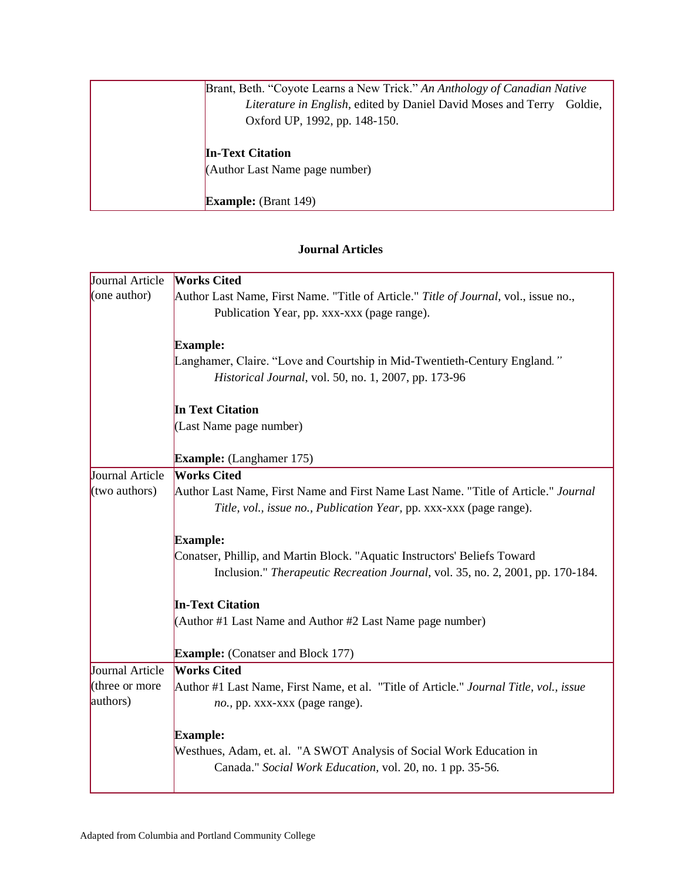| Brant, Beth. "Coyote Learns a New Trick." An Anthology of Canadian Native       |
|---------------------------------------------------------------------------------|
| <i>Literature in English, edited by Daniel David Moses and Terry</i><br>Goldie. |
| Oxford UP, 1992, pp. 148-150.                                                   |
|                                                                                 |
| <b>In-Text Citation</b>                                                         |
| (Author Last Name page number)                                                  |
|                                                                                 |
| <b>Example:</b> (Brant 149)                                                     |

## **Journal Articles**

| Journal Article | <b>Works Cited</b>                                                                     |
|-----------------|----------------------------------------------------------------------------------------|
| (one author)    | Author Last Name, First Name. "Title of Article." Title of Journal, vol., issue no.,   |
|                 | Publication Year, pp. xxx-xxx (page range).                                            |
|                 |                                                                                        |
|                 | <b>Example:</b>                                                                        |
|                 | Langhamer, Claire. "Love and Courtship in Mid-Twentieth-Century England."              |
|                 | Historical Journal, vol. 50, no. 1, 2007, pp. 173-96                                   |
|                 | <b>In Text Citation</b>                                                                |
|                 | (Last Name page number)                                                                |
|                 |                                                                                        |
|                 | <b>Example:</b> (Langhamer 175)                                                        |
| Journal Article | <b>Works Cited</b>                                                                     |
| (two authors)   | Author Last Name, First Name and First Name Last Name. "Title of Article." Journal     |
|                 | Title, vol., issue no., Publication Year, pp. xxx-xxx (page range).                    |
|                 | <b>Example:</b>                                                                        |
|                 | Conatser, Phillip, and Martin Block. "Aquatic Instructors' Beliefs Toward              |
|                 | Inclusion." Therapeutic Recreation Journal, vol. 35, no. 2, 2001, pp. 170-184.         |
|                 | <b>In-Text Citation</b>                                                                |
|                 | (Author #1 Last Name and Author #2 Last Name page number)                              |
|                 | <b>Example:</b> (Conatser and Block 177)                                               |
| Journal Article | <b>Works Cited</b>                                                                     |
| (three or more  | Author #1 Last Name, First Name, et al. "Title of Article." Journal Title, vol., issue |
| authors)        | no., pp. xxx-xxx (page range).                                                         |
|                 | <b>Example:</b>                                                                        |
|                 | Westhues, Adam, et. al. "A SWOT Analysis of Social Work Education in                   |
|                 | Canada." Social Work Education, vol. 20, no. 1 pp. 35-56.                              |
|                 |                                                                                        |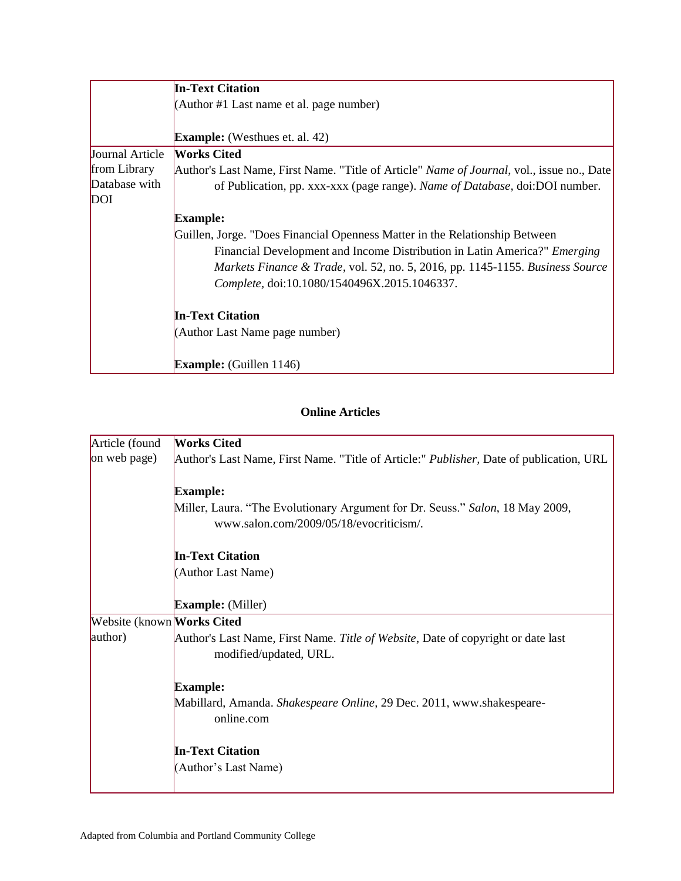|                 | <b>In-Text Citation</b>                                                                           |
|-----------------|---------------------------------------------------------------------------------------------------|
|                 | (Author #1 Last name et al. page number)                                                          |
|                 |                                                                                                   |
|                 | <b>Example:</b> (Westhues et. al. 42)                                                             |
| Journal Article | <b>Works Cited</b>                                                                                |
| from Library    | Author's Last Name, First Name. "Title of Article" <i>Name of Journal</i> , vol., issue no., Date |
| Database with   | of Publication, pp. xxx-xxx (page range). Name of Database, doi:DOI number.                       |
| <b>DOI</b>      |                                                                                                   |
|                 | <b>Example:</b>                                                                                   |
|                 | Guillen, Jorge. "Does Financial Openness Matter in the Relationship Between                       |
|                 | Financial Development and Income Distribution in Latin America?" <i>Emerging</i>                  |
|                 | Markets Finance & Trade, vol. 52, no. 5, 2016, pp. 1145-1155. Business Source                     |
|                 | Complete, doi:10.1080/1540496X.2015.1046337.                                                      |
|                 | <b>In-Text Citation</b>                                                                           |
|                 | (Author Last Name page number)                                                                    |
|                 | <b>Example:</b> (Guillen 1146)                                                                    |

# **Online Articles**

| Article (found             | <b>Works Cited</b>                                                                              |
|----------------------------|-------------------------------------------------------------------------------------------------|
|                            |                                                                                                 |
| on web page)               | Author's Last Name, First Name. "Title of Article:" <i>Publisher</i> , Date of publication, URL |
|                            |                                                                                                 |
|                            | <b>Example:</b>                                                                                 |
|                            | Miller, Laura. "The Evolutionary Argument for Dr. Seuss." Salon, 18 May 2009,                   |
|                            | www.salon.com/2009/05/18/evocriticism/.                                                         |
|                            |                                                                                                 |
|                            | <b>In-Text Citation</b>                                                                         |
|                            | (Author Last Name)                                                                              |
|                            |                                                                                                 |
|                            |                                                                                                 |
|                            | <b>Example:</b> (Miller)                                                                        |
| Website (known Works Cited |                                                                                                 |
| author)                    | Author's Last Name, First Name. Title of Website, Date of copyright or date last                |
|                            | modified/updated, URL.                                                                          |
|                            |                                                                                                 |
|                            | <b>Example:</b>                                                                                 |
|                            | Mabillard, Amanda. Shakespeare Online, 29 Dec. 2011, www.shakespeare-                           |
|                            | online.com                                                                                      |
|                            |                                                                                                 |
|                            |                                                                                                 |
|                            | <b>In-Text Citation</b>                                                                         |
|                            | (Author's Last Name)                                                                            |
|                            |                                                                                                 |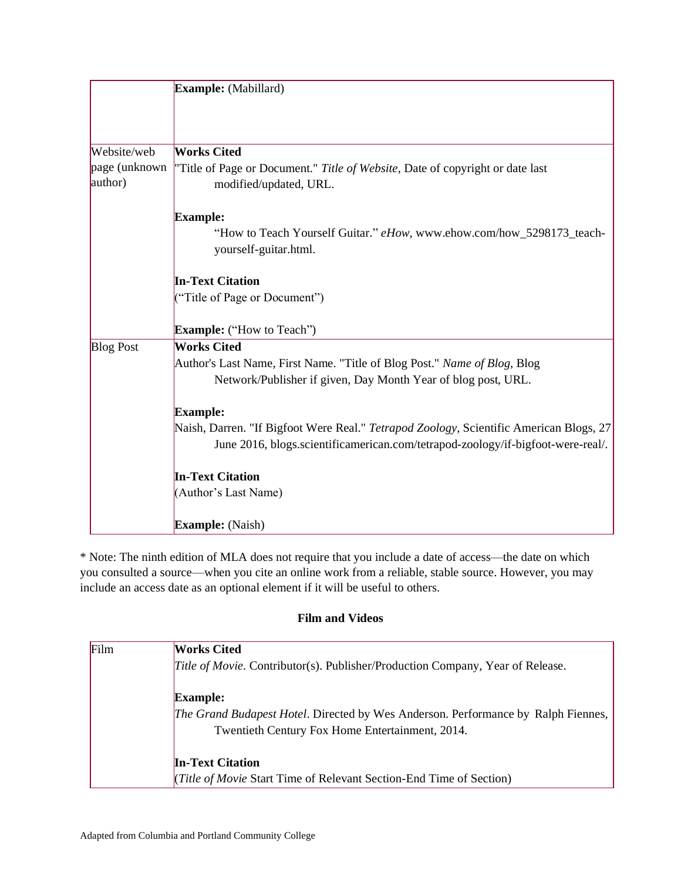|                          | Example: (Mabillard)                                                                                    |
|--------------------------|---------------------------------------------------------------------------------------------------------|
|                          |                                                                                                         |
| Website/web              | <b>Works Cited</b>                                                                                      |
| page (unknown<br>author) | "Title of Page or Document." Title of Website, Date of copyright or date last<br>modified/updated, URL. |
|                          | <b>Example:</b>                                                                                         |
|                          | "How to Teach Yourself Guitar." eHow, www.ehow.com/how_5298173_teach-<br>yourself-guitar.html.          |
|                          | <b>In-Text Citation</b>                                                                                 |
|                          | ("Title of Page or Document")                                                                           |
|                          | <b>Example:</b> ("How to Teach")                                                                        |
| <b>Blog Post</b>         | <b>Works Cited</b>                                                                                      |
|                          | Author's Last Name, First Name. "Title of Blog Post." Name of Blog, Blog                                |
|                          | Network/Publisher if given, Day Month Year of blog post, URL.                                           |
|                          | <b>Example:</b>                                                                                         |
|                          | Naish, Darren. "If Bigfoot Were Real." Tetrapod Zoology, Scientific American Blogs, 27                  |
|                          | June 2016, blogs.scientificamerican.com/tetrapod-zoology/if-bigfoot-were-real/.                         |
|                          | <b>In-Text Citation</b>                                                                                 |
|                          | (Author's Last Name)                                                                                    |
|                          | <b>Example:</b> (Naish)                                                                                 |

\* Note: The ninth edition of MLA does not require that you include a date of access—the date on which you consulted a source—when you cite an online work from a reliable, stable source. However, you may include an access date as an optional element if it will be useful to others.

## **Film and Videos**

| Film | Works Cited                                                                           |
|------|---------------------------------------------------------------------------------------|
|      | <i>Title of Movie.</i> Contributor(s). Publisher/Production Company, Year of Release. |
|      | <b>Example:</b>                                                                       |
|      | The Grand Budapest Hotel. Directed by Wes Anderson. Performance by Ralph Fiennes,     |
|      | Twentieth Century Fox Home Entertainment, 2014.                                       |
|      | <b>In-Text Citation</b>                                                               |
|      | ( <i>Title of Movie</i> Start Time of Relevant Section-End Time of Section)           |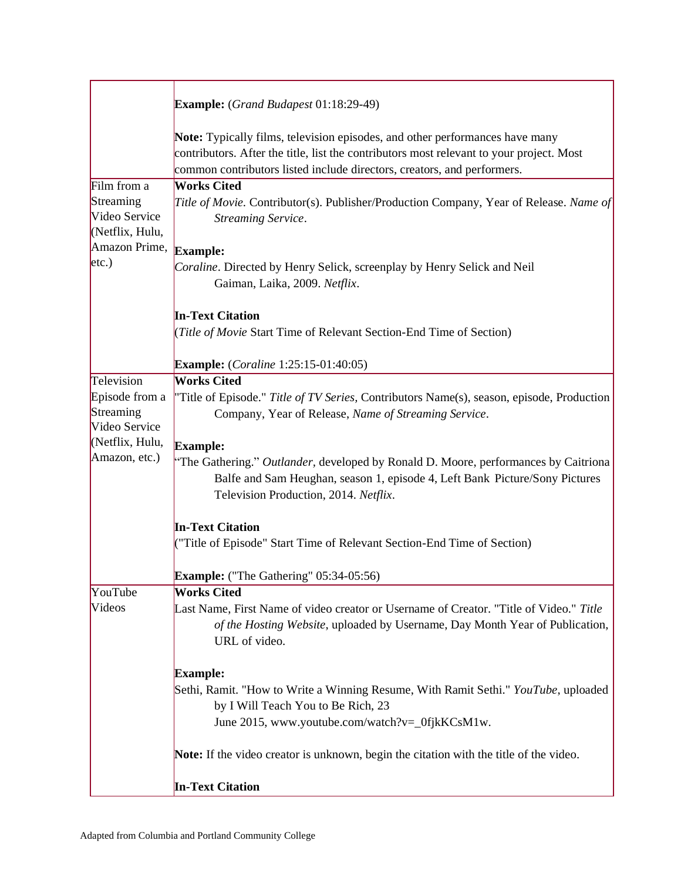|                                               | <b>Example:</b> (Grand Budapest 01:18:29-49)                                                                                                                                                                                                        |
|-----------------------------------------------|-----------------------------------------------------------------------------------------------------------------------------------------------------------------------------------------------------------------------------------------------------|
|                                               | Note: Typically films, television episodes, and other performances have many<br>contributors. After the title, list the contributors most relevant to your project. Most<br>common contributors listed include directors, creators, and performers. |
| Film from a                                   | <b>Works Cited</b>                                                                                                                                                                                                                                  |
| Streaming<br>Video Service<br>(Netflix, Hulu, | Title of Movie. Contributor(s). Publisher/Production Company, Year of Release. Name of<br>Streaming Service.                                                                                                                                        |
| Amazon Prime,                                 | <b>Example:</b>                                                                                                                                                                                                                                     |
| etc.)                                         | Coraline. Directed by Henry Selick, screenplay by Henry Selick and Neil<br>Gaiman, Laika, 2009. Netflix.                                                                                                                                            |
|                                               | <b>In-Text Citation</b>                                                                                                                                                                                                                             |
|                                               | (Title of Movie Start Time of Relevant Section-End Time of Section)                                                                                                                                                                                 |
|                                               | <b>Example:</b> ( <i>Coraline</i> 1:25:15-01:40:05)                                                                                                                                                                                                 |
| Television                                    | <b>Works Cited</b>                                                                                                                                                                                                                                  |
| Episode from a<br>Streaming<br>Video Service  | "Title of Episode." Title of TV Series, Contributors Name(s), season, episode, Production<br>Company, Year of Release, Name of Streaming Service.                                                                                                   |
| (Netflix, Hulu,                               | <b>Example:</b>                                                                                                                                                                                                                                     |
| Amazon, etc.)                                 | "The Gathering." Outlander, developed by Ronald D. Moore, performances by Caitriona<br>Balfe and Sam Heughan, season 1, episode 4, Left Bank Picture/Sony Pictures<br>Television Production, 2014. Netflix.                                         |
|                                               | <b>In-Text Citation</b>                                                                                                                                                                                                                             |
|                                               | ("Title of Episode" Start Time of Relevant Section-End Time of Section)                                                                                                                                                                             |
|                                               | Example: ("The Gathering" 05:34-05:56)                                                                                                                                                                                                              |
| YouTube                                       | <b>Works Cited</b>                                                                                                                                                                                                                                  |
| Videos                                        | Last Name, First Name of video creator or Username of Creator. "Title of Video." Title<br>of the Hosting Website, uploaded by Username, Day Month Year of Publication,<br>URL of video.                                                             |
|                                               | <b>Example:</b>                                                                                                                                                                                                                                     |
|                                               | Sethi, Ramit. "How to Write a Winning Resume, With Ramit Sethi." YouTube, uploaded<br>by I Will Teach You to Be Rich, 23                                                                                                                            |
|                                               | June 2015, www.youtube.com/watch?v=_0fjkKCsM1w.                                                                                                                                                                                                     |
|                                               | Note: If the video creator is unknown, begin the citation with the title of the video.                                                                                                                                                              |
|                                               | <b>In-Text Citation</b>                                                                                                                                                                                                                             |